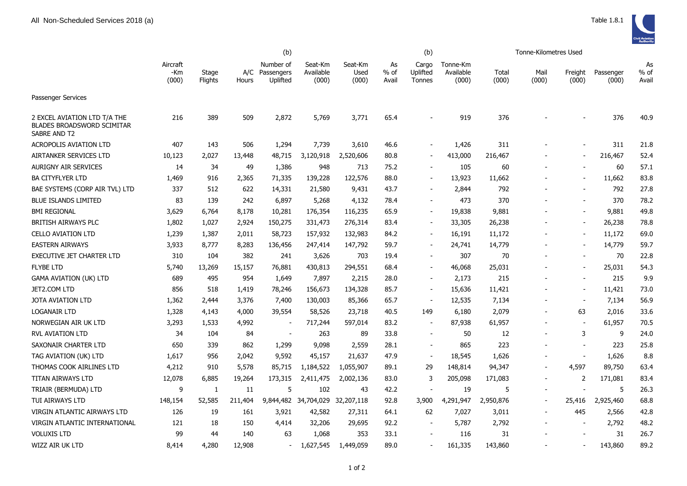|                                                                                   | (b)                      |                  |              |                                     |                               |                          |                     | (b)                         |                                |                | Tonne-Kilometres Used    |                          |                    |                     |
|-----------------------------------------------------------------------------------|--------------------------|------------------|--------------|-------------------------------------|-------------------------------|--------------------------|---------------------|-----------------------------|--------------------------------|----------------|--------------------------|--------------------------|--------------------|---------------------|
|                                                                                   | Aircraft<br>-Km<br>(000) | Stage<br>Flights | A/C<br>Hours | Number of<br>Passengers<br>Uplifted | Seat-Km<br>Available<br>(000) | Seat-Km<br>Used<br>(000) | As<br>% of<br>Avail | Cargo<br>Uplifted<br>Tonnes | Tonne-Km<br>Available<br>(000) | Total<br>(000) | Mail<br>(000)            | Freight<br>(000)         | Passenger<br>(000) | As<br>% of<br>Avail |
| Passenger Services                                                                |                          |                  |              |                                     |                               |                          |                     |                             |                                |                |                          |                          |                    |                     |
| 2 EXCEL AVIATION LTD T/A THE<br><b>BLADES BROADSWORD SCIMITAR</b><br>SABRE AND T2 | 216                      | 389              | 509          | 2,872                               | 5,769                         | 3,771                    | 65.4                |                             | 919                            | 376            |                          |                          | 376                | 40.9                |
| <b>ACROPOLIS AVIATION LTD</b>                                                     | 407                      | 143              | 506          | 1,294                               | 7,739                         | 3,610                    | 46.6                |                             | 1,426                          | 311            |                          | $\sim$                   | 311                | 21.8                |
| AIRTANKER SERVICES LTD                                                            | 10,123                   | 2,027            | 13,448       | 48,715                              | 3,120,918                     | 2,520,606                | 80.8                | $\overline{\phantom{a}}$    | 413,000                        | 216,467        |                          | $\blacksquare$           | 216,467            | 52.4                |
| <b>AURIGNY AIR SERVICES</b>                                                       | 14                       | 34               | 49           | 1,386                               | 948                           | 713                      | 75.2                |                             | 105                            | 60             |                          |                          | 60                 | 57.1                |
| <b>BA CITYFLYER LTD</b>                                                           | 1,469                    | 916              | 2,365        | 71,335                              | 139,228                       | 122,576                  | 88.0                | $\overline{\phantom{a}}$    | 13,923                         | 11,662         |                          | $\overline{a}$           | 11,662             | 83.8                |
| BAE SYSTEMS (CORP AIR TVL) LTD                                                    | 337                      | 512              | 622          | 14,331                              | 21,580                        | 9,431                    | 43.7                | $\overline{\phantom{a}}$    | 2,844                          | 792            |                          | $\overline{\phantom{a}}$ | 792                | 27.8                |
| <b>BLUE ISLANDS LIMITED</b>                                                       | 83                       | 139              | 242          | 6,897                               | 5,268                         | 4,132                    | 78.4                | $\overline{\phantom{a}}$    | 473                            | 370            |                          | $\overline{\phantom{m}}$ | 370                | 78.2                |
| <b>BMI REGIONAL</b>                                                               | 3,629                    | 6,764            | 8,178        | 10,281                              | 176,354                       | 116,235                  | 65.9                | $\blacksquare$              | 19,838                         | 9,881          |                          | $\sim$                   | 9,881              | 49.8                |
| BRITISH AIRWAYS PLC                                                               | 1,802                    | 1,027            | 2,924        | 150,275                             | 331,473                       | 276,314                  | 83.4                | $\blacksquare$              | 33,305                         | 26,238         |                          | $\sim$                   | 26,238             | 78.8                |
| <b>CELLO AVIATION LTD</b>                                                         | 1,239                    | 1,387            | 2,011        | 58,723                              | 157,932                       | 132,983                  | 84.2                | $\sim$                      | 16,191                         | 11,172         |                          | $\overline{\phantom{a}}$ | 11,172             | 69.0                |
| <b>EASTERN AIRWAYS</b>                                                            | 3,933                    | 8,777            | 8,283        | 136,456                             | 247,414                       | 147,792                  | 59.7                | $\blacksquare$              | 24,741                         | 14,779         |                          | $\blacksquare$           | 14,779             | 59.7                |
| EXECUTIVE JET CHARTER LTD                                                         | 310                      | 104              | 382          | 241                                 | 3,626                         | 703                      | 19.4                | $\blacksquare$              | 307                            | 70             |                          | $\sim$                   | 70                 | 22.8                |
| <b>FLYBE LTD</b>                                                                  | 5,740                    | 13,269           | 15,157       | 76,881                              | 430,813                       | 294,551                  | 68.4                | $\overline{\phantom{a}}$    | 46,068                         | 25,031         |                          | $\sim$                   | 25,031             | 54.3                |
| <b>GAMA AVIATION (UK) LTD</b>                                                     | 689                      | 495              | 954          | 1,649                               | 7,897                         | 2,215                    | 28.0                | $\overline{\phantom{a}}$    | 2,173                          | 215            |                          | $\blacksquare$           | 215                | 9.9                 |
| JET2.COM LTD                                                                      | 856                      | 518              | 1,419        | 78,246                              | 156,673                       | 134,328                  | 85.7                | $\overline{\phantom{a}}$    | 15,636                         | 11,421         |                          | $\blacksquare$           | 11,421             | 73.0                |
| <b>JOTA AVIATION LTD</b>                                                          | 1,362                    | 2,444            | 3,376        | 7,400                               | 130,003                       | 85,366                   | 65.7                | $\blacksquare$              | 12,535                         | 7,134          |                          | $\blacksquare$           | 7,134              | 56.9                |
| <b>LOGANAIR LTD</b>                                                               | 1,328                    | 4,143            | 4,000        | 39,554                              | 58,526                        | 23,718                   | 40.5                | 149                         | 6,180                          | 2,079          |                          | 63                       | 2,016              | 33.6                |
| NORWEGIAN AIR UK LTD                                                              | 3,293                    | 1,533            | 4,992        |                                     | 717,244                       | 597,014                  | 83.2                | $\overline{\phantom{a}}$    | 87,938                         | 61,957         |                          | $\overline{\phantom{a}}$ | 61,957             | 70.5                |
| <b>RVL AVIATION LTD</b>                                                           | 34                       | 104              | 84           | $\blacksquare$                      | 263                           | 89                       | 33.8                | $\blacksquare$              | 50                             | 12             |                          | 3                        | 9                  | 24.0                |
| SAXONAIR CHARTER LTD                                                              | 650                      | 339              | 862          | 1,299                               | 9,098                         | 2,559                    | 28.1                | $\blacksquare$              | 865                            | 223            |                          | $\overline{\phantom{a}}$ | 223                | 25.8                |
| TAG AVIATION (UK) LTD                                                             | 1,617                    | 956              | 2,042        | 9,592                               | 45,157                        | 21,637                   | 47.9                | $\blacksquare$              | 18,545                         | 1,626          |                          |                          | 1,626              | 8.8                 |
| THOMAS COOK AIRLINES LTD                                                          | 4,212                    | 910              | 5,578        | 85,715                              | 1,184,522                     | 1,055,907                | 89.1                | 29                          | 148,814                        | 94,347         | $\overline{a}$           | 4,597                    | 89,750             | 63.4                |
| TITAN AIRWAYS LTD                                                                 | 12,078                   | 6,885            | 19,264       | 173,315                             | 2,411,475                     | 2,002,136                | 83.0                | 3                           | 205,098                        | 171,083        | $\overline{\phantom{a}}$ | 2                        | 171,081            | 83.4                |
| TRIAIR (BERMUDA) LTD                                                              | 9                        | 1                | 11           | 5                                   | 102                           | 43                       | 42.2                |                             | 19                             | 5              |                          | $\blacksquare$           | 5                  | 26.3                |
| TUI AIRWAYS LTD                                                                   | 148,154                  | 52,585           | 211,404      |                                     | 9,844,482 34,704,029          | 32,207,118               | 92.8                | 3,900                       | 4,291,947                      | 2,950,876      |                          | 25,416                   | 2,925,460          | 68.8                |
| VIRGIN ATLANTIC AIRWAYS LTD                                                       | 126                      | 19               | 161          | 3,921                               | 42,582                        | 27,311                   | 64.1                | 62                          | 7,027                          | 3,011          |                          | 445                      | 2,566              | 42.8                |
| VIRGIN ATLANTIC INTERNATIONAL                                                     | 121                      | 18               | 150          | 4,414                               | 32,206                        | 29,695                   | 92.2                | $\overline{\phantom{a}}$    | 5,787                          | 2,792          |                          | $\overline{\phantom{a}}$ | 2,792              | 48.2                |
| <b>VOLUXIS LTD</b>                                                                | 99                       | 44               | 140          | 63                                  | 1,068                         | 353                      | 33.1                | $\blacksquare$              | 116                            | 31             |                          | $\overline{\phantom{a}}$ | 31                 | 26.7                |
| WIZZ AIR UK LTD                                                                   | 8,414                    | 4,280            | 12,908       | $\sim$                              | 1,627,545                     | 1,449,059                | 89.0                | $\overline{\phantom{a}}$    | 161,335                        | 143,860        |                          | $\blacksquare$           | 143,860            | 89.2                |